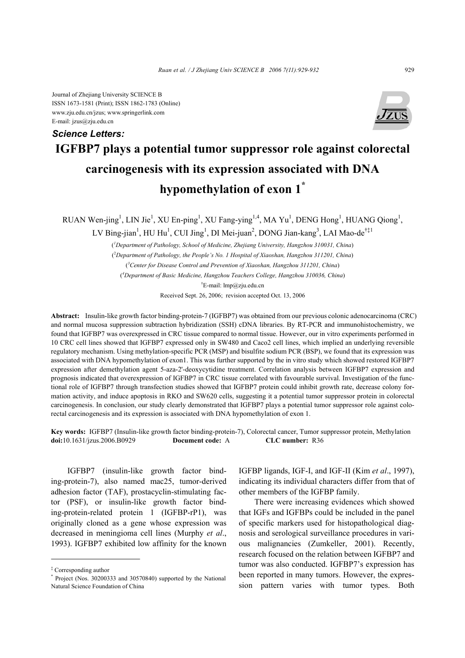Journal of Zhejiang University SCIENCE B ISSN 1673-1581 (Print); ISSN 1862-1783 (Online) www.zju.edu.cn/jzus; www.springerlink.com E-mail: jzus@zju.edu.cn



## **IGFBP7 plays a potential tumor suppressor role against colorectal carcinogenesis with its expression associated with DNA hypomethylation of exon 1\*** *Science Letters:*

RUAN Wen-jing<sup>1</sup>, LIN Jie<sup>1</sup>, XU En-ping<sup>1</sup>, XU Fang-ying<sup>1,4</sup>, MA Yu<sup>1</sup>, DENG Hong<sup>1</sup>, HUANG Qiong<sup>1</sup>,

LV Bing-jian<sup>1</sup>, HU Hu<sup>1</sup>, CUI Jing<sup>1</sup>, DI Mei-juan<sup>2</sup>, DONG Jian-kang<sup>3</sup>, LAI Mao-de<sup>†‡1</sup>

( *1 Department of Pathology, School of Medicine, Zhejiang University, Hangzhou 310031, China*) ( 2 *Department of Pathology, the People's No. 1 Hospital of Xiaoshan, Hangzhou 311201, China*) ( *3 Center for Disease Control and Prevention of Xiaoshan, Hangzhou 311201, China*) ( *4 Department of Basic Medicine, Hangzhou Teachers College, Hangzhou 310036, China*)

† E-mail: lmp@zju.edu.cn

Received Sept. 26, 2006; revision accepted Oct. 13, 2006

**Abstract:** Insulin-like growth factor binding-protein-7 (IGFBP7) was obtained from our previous colonic adenocarcinoma (CRC) and normal mucosa suppression subtraction hybridization (SSH) cDNA libraries. By RT-PCR and immunohistochemistry, we found that IGFBP7 was overexpressed in CRC tissue compared to normal tissue. However, our in vitro experiments performed in 10 CRC cell lines showed that IGFBP7 expressed only in SW480 and Caco2 cell lines, which implied an underlying reversible regulatory mechanism. Using methylation-specific PCR (MSP) and bisulfite sodium PCR (BSP), we found that its expression was associated with DNA hypomethylation of exon1. This was further supported by the in vitro study which showed restored IGFBP7 expression after demethylation agent 5-aza-2'-deoxycytidine treatment. Correlation analysis between IGFBP7 expression and prognosis indicated that overexpression of IGFBP7 in CRC tissue correlated with favourable survival. Investigation of the functional role of IGFBP7 through transfection studies showed that IGFBP7 protein could inhibit growth rate, decrease colony formation activity, and induce apoptosis in RKO and SW620 cells, suggesting it a potential tumor suppressor protein in colorectal carcinogenesis. In conclusion, our study clearly demonstrated that IGFBP7 plays a potential tumor suppressor role against colorectal carcinogenesis and its expression is associated with DNA hypomethylation of exon 1.

**Key words:** IGFBP7 (Insulin-like growth factor binding-protein-7), Colorectal cancer, Tumor suppressor protein, Methylation **doi:**10.1631/jzus.2006.B0929 **Document code:** A **CLC number:** R36

IGFBP7 (insulin-like growth factor binding-protein-7), also named mac25, tumor-derived adhesion factor (TAF), prostacyclin-stimulating factor (PSF), or insulin-like growth factor binding-protein-related protein 1 (IGFBP-rP1), was originally cloned as a gene whose expression was decreased in meningioma cell lines (Murphy *et al*., 1993). IGFBP7 exhibited low affinity for the known

IGFBP ligands, IGF-I, and IGF-II (Kim *et al*., 1997), indicating its individual characters differ from that of other members of the IGFBP family.

There were increasing evidences which showed that IGFs and IGFBPs could be included in the panel of specific markers used for histopathological diagnosis and serological surveillance procedures in various malignancies (Zumkeller, 2001). Recently, research focused on the relation between IGFBP7 and tumor was also conducted. IGFBP7's expression has been reported in many tumors. However, the expression pattern varies with tumor types. Both

<sup>‡</sup> Corresponding author

<sup>\*</sup> Project (Nos. 30200333 and 30570840) supported by the National Natural Science Foundation of China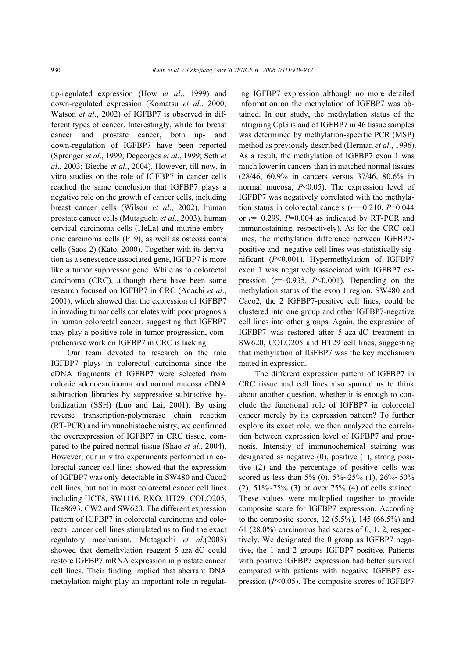up-regulated expression (How *et al*., 1999) and down-regulated expression (Komatsu *et al*., 2000; Watson *et al*., 2002) of IGFBP7 is observed in different types of cancer. Interestingly, while for breast cancer and prostate cancer, both up- and down-regulation of IGFBP7 have been reported (Sprenger *et al*., 1999; Degeorges *et al*., 1999; Seth *et al*., 2003; Bieche *et al*., 2004). However, till now, in vitro studies on the role of IGFBP7 in cancer cells reached the same conclusion that IGFBP7 plays a negative role on the growth of cancer cells, including breast cancer cells (Wilson *et al*., 2002), human prostate cancer cells (Mutaguchi *et al*., 2003), human cervical carcinoma cells (HeLa) and murine embryonic carcinoma cells (P19), as well as osteosarcoma cells (Saos-2) (Kato, 2000). Together with its derivation as a senescence associated gene, IGFBP7 is more like a tumor suppressor gene. While as to colorectal carcinoma (CRC), although there have been some research focused on IGFBP7 in CRC (Adachi *et al*., 2001), which showed that the expression of IGFBP7 in invading tumor cells correlates with poor prognosis in human colorectal cancer, suggesting that IGFBP7 may play a positive role in tumor progression, comprehensive work on IGFBP7 in CRC is lacking.

Our team devoted to research on the role IGFBP7 plays in colorectal carcinoma since the cDNA fragments of IGFBP7 were selected from colonic adenocarcinoma and normal mucosa cDNA subtraction libraries by suppressive subtractive hybridization (SSH) (Luo and Lai, 2001). By using reverse transcription-polymerase chain reaction (RT-PCR) and immunohistochemistry, we confirmed the overexpression of IGFBP7 in CRC tissue, compared to the paired normal tissue (Shao *et al*., 2004). However, our in vitro experiments performed in colorectal cancer cell lines showed that the expression of IGFBP7 was only detectable in SW480 and Caco2 cell lines, but not in most colorectal cancer cell lines including HCT8, SW1116, RKO, HT29, COLO205, Hce8693, CW2 and SW620. The different expression pattern of IGFBP7 in colorectal carcinoma and colorectal cancer cell lines stimulated us to find the exact regulatory mechanism. Mutaguchi *et al*.(2003) showed that demethylation reagent 5-aza-dC could restore IGFBP7 mRNA expression in prostate cancer cell lines. Their finding implied that aberrant DNA methylation might play an important role in regulating IGFBP7 expression although no more detailed information on the methylation of IGFBP7 was obtained. In our study, the methylation status of the intriguing CpG island of IGFBP7 in 46 tissue samples was determined by methylation-specific PCR (MSP) method as previously described (Herman *et al*., 1996). As a result, the methylation of IGFBP7 exon 1 was much lower in cancers than in matched normal tissues (28/46, 60.9% in cancers versus 37/46, 80.6% in normal mucosa, *P*<0.05). The expression level of IGFBP7 was negatively correlated with the methylation status in colorectal cancers (*r*=−0.210, *P*=0.044 or *r*=−0.299, *P*=0.004 as indicated by RT-PCR and immunostaining, respectively). As for the CRC cell lines, the methylation difference between IGFBP7 positive and -negative cell lines was statistically significant (*P*<0.001). Hypermethylation of IGFBP7 exon 1 was negatively associated with IGFBP7 expression (*r*=−0.935, *P*<0.001). Depending on the methylation status of the exon 1 region, SW480 and Caco2, the 2 IGFBP7-positive cell lines, could be clustered into one group and other IGFBP7-negative cell lines into other groups. Again, the expression of IGFBP7 was restored after 5-aza-dC treatment in SW620, COLO205 and HT29 cell lines, suggesting that methylation of IGFBP7 was the key mechanism muted in expression.

The different expression pattern of IGFBP7 in CRC tissue and cell lines also spurred us to think about another question, whether it is enough to conclude the functional role of IGFBP7 in colorectal cancer merely by its expression pattern? To further explore its exact role, we then analyzed the correlation between expression level of IGFBP7 and prognosis. Intensity of immunochemical staining was designated as negative (0), positive (1), strong positive (2) and the percentage of positive cells was scored as less than 5% (0),  $5\frac{3}{2}5\frac{3}{6}$  (1),  $26\frac{3}{6}50\frac{3}{6}$ (2), 51%~75% (3) or over 75% (4) of cells stained. These values were multiplied together to provide composite score for IGFBP7 expression. According to the composite scores,  $12$  (5.5%),  $145$  (66.5%) and  $61$  (28.0%) carcinomas had scores of 0, 1, 2, respectively. We designated the 0 group as IGFBP7 negative, the 1 and 2 groups IGFBP7 positive. Patients with positive IGFBP7 expression had better survival compared with patients with negative IGFBP7 expression (*P*<0.05). The composite scores of IGFBP7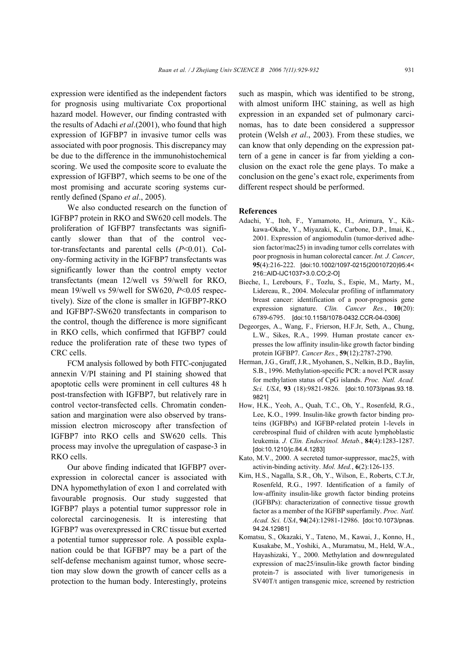expression were identified as the independent factors for prognosis using multivariate Cox proportional hazard model. However, our finding contrasted with the results of Adachi *et al*.(2001), who found that high expression of IGFBP7 in invasive tumor cells was associated with poor prognosis. This discrepancy may be due to the difference in the immunohistochemical scoring. We used the composite score to evaluate the expression of IGFBP7, which seems to be one of the most promising and accurate scoring systems currently defined (Spano *et al*., 2005).

We also conducted research on the function of IGFBP7 protein in RKO and SW620 cell models. The proliferation of IGFBP7 transfectants was significantly slower than that of the control vector-transfectants and parental cells (*P*<0.01). Colony-forming activity in the IGFBP7 transfectants was significantly lower than the control empty vector transfectants (mean 12/well vs 59/well for RKO, mean 19/well vs 59/well for SW620, *P*<0.05 respectively). Size of the clone is smaller in IGFBP7-RKO and IGFBP7-SW620 transfectants in comparison to the control, though the difference is more significant in RKO cells, which confirmed that IGFBP7 could reduce the proliferation rate of these two types of CRC cells.

FCM analysis followed by both FITC-conjugated annexin V/PI staining and PI staining showed that apoptotic cells were prominent in cell cultures 48 h post-transfection with IGFBP7, but relatively rare in control vector-transfected cells. Chromatin condensation and margination were also observed by transmission electron microscopy after transfection of IGFBP7 into RKO cells and SW620 cells. This process may involve the upregulation of caspase-3 in RKO cells.

Our above finding indicated that IGFBP7 overexpression in colorectal cancer is associated with DNA hypomethylation of exon 1 and correlated with favourable prognosis. Our study suggested that IGFBP7 plays a potential tumor suppressor role in colorectal carcinogenesis. It is interesting that IGFBP7 was overexpressed in CRC tissue but exerted a potential tumor suppressor role. A possible explanation could be that IGFBP7 may be a part of the self-defense mechanism against tumor, whose secretion may slow down the growth of cancer cells as a protection to the human body. Interestingly, proteins such as maspin, which was identified to be strong, with almost uniform IHC staining, as well as high expression in an expanded set of pulmonary carcinomas, has to date been considered a suppressor protein (Welsh *et al*., 2003). From these studies, we can know that only depending on the expression pattern of a gene in cancer is far from yielding a conclusion on the exact role the gene plays. To make a conclusion on the gene's exact role, experiments from different respect should be performed.

## **References**

- Adachi, Y., Itoh, F., Yamamoto, H., Arimura, Y., Kikkawa-Okabe, Y., Miyazaki, K., Carbone, D.P., Imai, K., 2001. Expression of angiomodulin (tumor-derived adhesion factor/mac25) in invading tumor cells correlates with poor prognosis in human colorectal cancer. *Int. J. Cancer*, **95**(4):216-222. [doi:10.1002/1097-0215(20010720)95:4< 216::AID-IJC1037>3.0.CO;2-O]
- Bieche, I., Lerebours, F., Tozlu, S., Espie, M., Marty, M., Lidereau, R., 2004. Molecular profiling of inflammatory breast cancer: identification of a poor-prognosis gene expression signature. *Clin. Cancer Res.*, **10**(20): 6789-6795. [doi:10.1158/1078-0432.CCR-04-0306]
- Degeorges, A., Wang, F., Frierson, H.F.Jr, Seth, A., Chung, L.W., Sikes, R.A., 1999. Human prostate cancer expresses the low affinity insulin-like growth factor binding protein IGFBP7. *Cancer Res.*, **59**(12):2787-2790.
- Herman, J.G., Graff, J.R., Myohanen, S., Nelkin, B.D., Baylin, S.B., 1996. Methylation-specific PCR: a novel PCR assay for methylation status of CpG islands. *Proc. Natl. Acad. Sci. USA*, **93** (18):9821-9826. [doi:10.1073/pnas.93.18. 9821]
- How, H.K., Yeoh, A., Quah, T.C., Oh, Y., Rosenfeld, R.G., Lee, K.O., 1999. Insulin-like growth factor binding proteins (IGFBPs) and IGFBP-related protein 1-levels in cerebrospinal fluid of children with acute lymphoblastic leukemia. *J. Clin. Endocrinol. Metab.*, **84**(4):1283-1287. [doi:10.1210/jc.84.4.1283]
- Kato, M.V., 2000. A secreted tumor-suppressor, mac25, with activin-binding activity. *Mol. Med.*, **6**(2):126-135.
- Kim, H.S., Nagalla, S.R., Oh, Y., Wilson, E., Roberts, C.T.Jr, Rosenfeld, R.G., 1997. Identification of a family of low-affinity insulin-like growth factor binding proteins (IGFBPs): characterization of connective tissue growth factor as a member of the IGFBP superfamily. *Proc. Natl. Acad. Sci. USA*, **94**(24):12981-12986. [doi:10.1073/pnas. 94.24.12981]
- Komatsu, S., Okazaki, Y., Tateno, M., Kawai, J., Konno, H., Kusakabe, M., Yoshiki, A., Muramatsu, M., Held, W.A., Hayashizaki, Y., 2000. Methylation and downregulated expression of mac25/insulin-like growth factor binding protein-7 is associated with liver tumorigenesis in SV40T/t antigen transgenic mice, screened by restriction